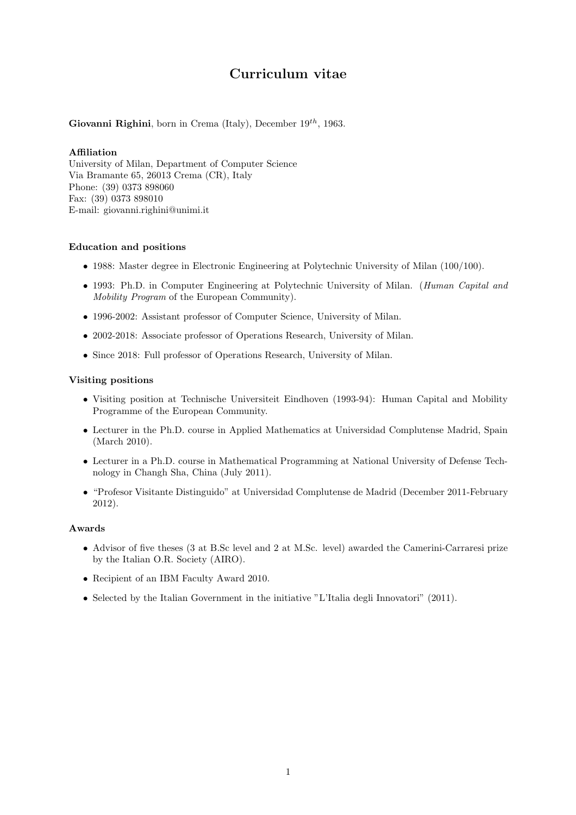# Curriculum vitae

# Giovanni Righini, born in Crema (Italy), December  $19^{th}$ , 1963.

# Affiliation

University of Milan, Department of Computer Science Via Bramante 65, 26013 Crema (CR), Italy Phone: (39) 0373 898060 Fax: (39) 0373 898010 E-mail: giovanni.righini@unimi.it

# Education and positions

- 1988: Master degree in Electronic Engineering at Polytechnic University of Milan (100/100).
- 1993: Ph.D. in Computer Engineering at Polytechnic University of Milan. (Human Capital and Mobility Program of the European Community).
- 1996-2002: Assistant professor of Computer Science, University of Milan.
- 2002-2018: Associate professor of Operations Research, University of Milan.
- Since 2018: Full professor of Operations Research, University of Milan.

# Visiting positions

- Visiting position at Technische Universiteit Eindhoven (1993-94): Human Capital and Mobility Programme of the European Community.
- Lecturer in the Ph.D. course in Applied Mathematics at Universidad Complutense Madrid, Spain (March 2010).
- Lecturer in a Ph.D. course in Mathematical Programming at National University of Defense Technology in Changh Sha, China (July 2011).
- "Profesor Visitante Distinguido" at Universidad Complutense de Madrid (December 2011-February 2012).

#### Awards

- Advisor of five theses (3 at B.Sc level and 2 at M.Sc. level) awarded the Camerini-Carraresi prize by the Italian O.R. Society (AIRO).
- Recipient of an IBM Faculty Award 2010.
- Selected by the Italian Government in the initiative "L'Italia degli Innovatori" (2011).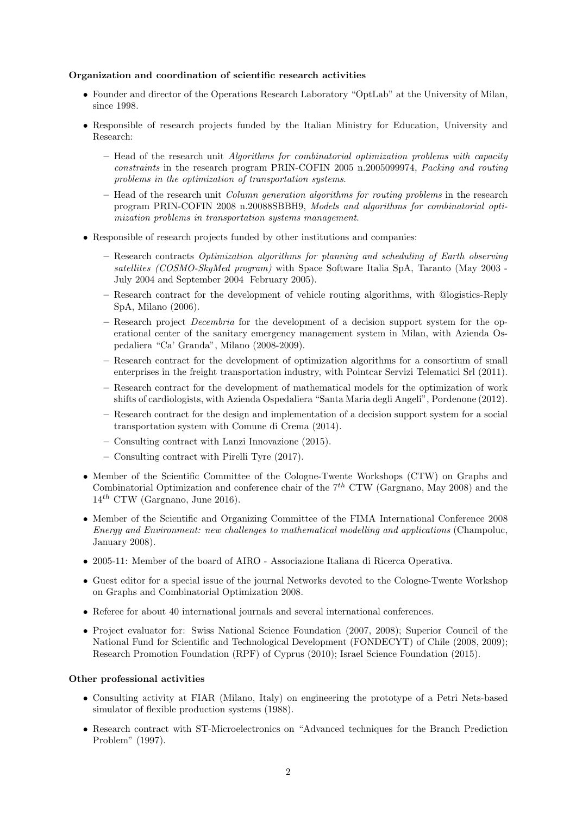# Organization and coordination of scientific research activities

- Founder and director of the Operations Research Laboratory "OptLab" at the University of Milan, since 1998.
- Responsible of research projects funded by the Italian Ministry for Education, University and Research:
	- Head of the research unit Algorithms for combinatorial optimization problems with capacity constraints in the research program PRIN-COFIN 2005 n.2005099974, Packing and routing problems in the optimization of transportation systems.
	- Head of the research unit *Column generation algorithms for routing problems* in the research program PRIN-COFIN 2008 n.20088SBBH9, Models and algorithms for combinatorial optimization problems in transportation systems management.
- Responsible of research projects funded by other institutions and companies:
	- Research contracts Optimization algorithms for planning and scheduling of Earth observing satellites (COSMO-SkyMed program) with Space Software Italia SpA, Taranto (May 2003 - July 2004 and September 2004 February 2005).
	- Research contract for the development of vehicle routing algorithms, with @logistics-Reply SpA, Milano (2006).
	- Research project Decembria for the development of a decision support system for the operational center of the sanitary emergency management system in Milan, with Azienda Ospedaliera "Ca' Granda", Milano (2008-2009).
	- Research contract for the development of optimization algorithms for a consortium of small enterprises in the freight transportation industry, with Pointcar Servizi Telematici Srl (2011).
	- Research contract for the development of mathematical models for the optimization of work shifts of cardiologists, with Azienda Ospedaliera "Santa Maria degli Angeli", Pordenone (2012).
	- Research contract for the design and implementation of a decision support system for a social transportation system with Comune di Crema (2014).
	- Consulting contract with Lanzi Innovazione (2015).
	- Consulting contract with Pirelli Tyre (2017).
- Member of the Scientific Committee of the Cologne-Twente Workshops (CTW) on Graphs and Combinatorial Optimization and conference chair of the  $7<sup>th</sup>$  CTW (Gargnano, May 2008) and the  $14^{th}$  CTW (Gargnano, June 2016).
- Member of the Scientific and Organizing Committee of the FIMA International Conference 2008 Energy and Environment: new challenges to mathematical modelling and applications (Champoluc, January 2008).
- 2005-11: Member of the board of AIRO Associazione Italiana di Ricerca Operativa.
- Guest editor for a special issue of the journal Networks devoted to the Cologne-Twente Workshop on Graphs and Combinatorial Optimization 2008.
- Referee for about 40 international journals and several international conferences.
- Project evaluator for: Swiss National Science Foundation (2007, 2008); Superior Council of the National Fund for Scientific and Technological Development (FONDECYT) of Chile (2008, 2009); Research Promotion Foundation (RPF) of Cyprus (2010); Israel Science Foundation (2015).

#### Other professional activities

- Consulting activity at FIAR (Milano, Italy) on engineering the prototype of a Petri Nets-based simulator of flexible production systems (1988).
- Research contract with ST-Microelectronics on "Advanced techniques for the Branch Prediction Problem" (1997).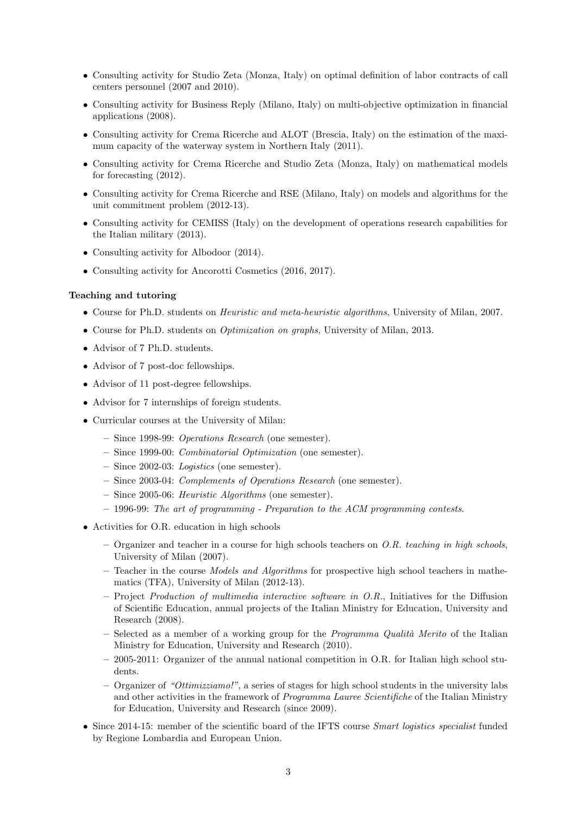- Consulting activity for Studio Zeta (Monza, Italy) on optimal definition of labor contracts of call centers personnel (2007 and 2010).
- Consulting activity for Business Reply (Milano, Italy) on multi-objective optimization in financial applications (2008).
- Consulting activity for Crema Ricerche and ALOT (Brescia, Italy) on the estimation of the maximum capacity of the waterway system in Northern Italy (2011).
- Consulting activity for Crema Ricerche and Studio Zeta (Monza, Italy) on mathematical models for forecasting (2012).
- Consulting activity for Crema Ricerche and RSE (Milano, Italy) on models and algorithms for the unit commitment problem (2012-13).
- Consulting activity for CEMISS (Italy) on the development of operations research capabilities for the Italian military (2013).
- Consulting activity for Albodoor  $(2014)$ .
- Consulting activity for Ancorotti Cosmetics (2016, 2017).

## Teaching and tutoring

- Course for Ph.D. students on Heuristic and meta-heuristic algorithms, University of Milan, 2007.
- Course for Ph.D. students on Optimization on graphs, University of Milan, 2013.
- Advisor of 7 Ph.D. students.
- Advisor of 7 post-doc fellowships.
- Advisor of 11 post-degree fellowships.
- Advisor for 7 internships of foreign students.
- Curricular courses at the University of Milan:
	- Since 1998-99: Operations Research (one semester).
	- Since 1999-00: Combinatorial Optimization (one semester).
	- Since 2002-03: Logistics (one semester).
	- Since 2003-04: Complements of Operations Research (one semester).
	- Since 2005-06: Heuristic Algorithms (one semester).
	- $-$  1996-99: The art of programming Preparation to the ACM programming contests.
- Activities for O.R. education in high schools
	- Organizer and teacher in a course for high schools teachers on  $O.R.$  teaching in high schools, University of Milan (2007).
	- Teacher in the course Models and Algorithms for prospective high school teachers in mathematics (TFA), University of Milan (2012-13).
	- $-$  Project *Production of multimedia interactive software in O.R.*, Initiatives for the Diffusion of Scientific Education, annual projects of the Italian Ministry for Education, University and Research (2008).
	- Selected as a member of a working group for the *Programma Qualità Merito* of the Italian Ministry for Education, University and Research (2010).
	- 2005-2011: Organizer of the annual national competition in O.R. for Italian high school students.
	- Organizer of "Ottimizziamo!", a series of stages for high school students in the university labs and other activities in the framework of Programma Lauree Scientifiche of the Italian Ministry for Education, University and Research (since 2009).
- Since 2014-15: member of the scientific board of the IFTS course Smart logistics specialist funded by Regione Lombardia and European Union.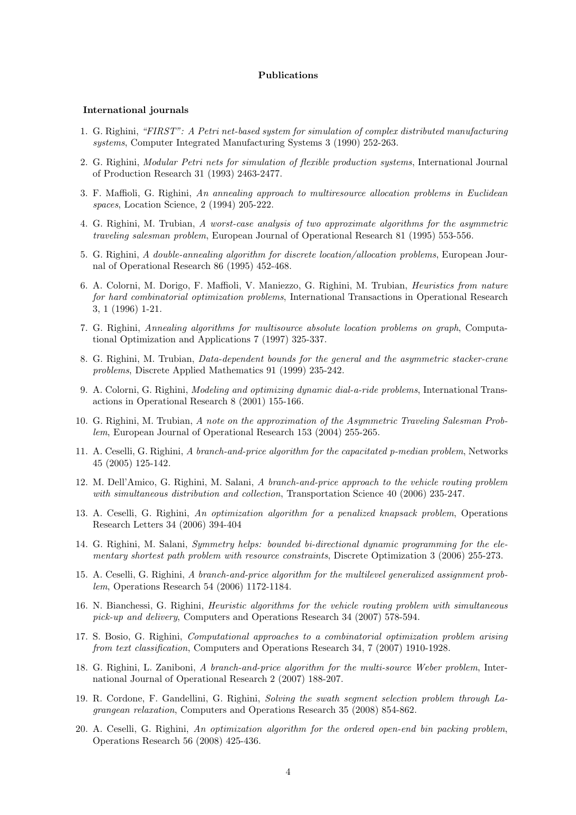#### Publications

#### International journals

- 1. G. Righini, "FIRST": A Petri net-based system for simulation of complex distributed manufacturing systems, Computer Integrated Manufacturing Systems 3 (1990) 252-263.
- 2. G. Righini, Modular Petri nets for simulation of flexible production systems, International Journal of Production Research 31 (1993) 2463-2477.
- 3. F. Maffioli, G. Righini, An annealing approach to multiresource allocation problems in Euclidean spaces, Location Science, 2 (1994) 205-222.
- 4. G. Righini, M. Trubian, A worst-case analysis of two approximate algorithms for the asymmetric traveling salesman problem, European Journal of Operational Research 81 (1995) 553-556.
- 5. G. Righini, A double-annealing algorithm for discrete location/allocation problems, European Journal of Operational Research 86 (1995) 452-468.
- 6. A. Colorni, M. Dorigo, F. Maffioli, V. Maniezzo, G. Righini, M. Trubian, Heuristics from nature for hard combinatorial optimization problems, International Transactions in Operational Research 3, 1 (1996) 1-21.
- 7. G. Righini, Annealing algorithms for multisource absolute location problems on graph, Computational Optimization and Applications 7 (1997) 325-337.
- 8. G. Righini, M. Trubian, Data-dependent bounds for the general and the asymmetric stacker-crane problems, Discrete Applied Mathematics 91 (1999) 235-242.
- 9. A. Colorni, G. Righini, Modeling and optimizing dynamic dial-a-ride problems, International Transactions in Operational Research 8 (2001) 155-166.
- 10. G. Righini, M. Trubian, A note on the approximation of the Asymmetric Traveling Salesman Problem, European Journal of Operational Research 153 (2004) 255-265.
- 11. A. Ceselli, G. Righini, A branch-and-price algorithm for the capacitated p-median problem, Networks 45 (2005) 125-142.
- 12. M. Dell'Amico, G. Righini, M. Salani, A branch-and-price approach to the vehicle routing problem with simultaneous distribution and collection, Transportation Science 40 (2006) 235-247.
- 13. A. Ceselli, G. Righini, An optimization algorithm for a penalized knapsack problem, Operations Research Letters 34 (2006) 394-404
- 14. G. Righini, M. Salani, Symmetry helps: bounded bi-directional dynamic programming for the elementary shortest path problem with resource constraints, Discrete Optimization 3 (2006) 255-273.
- 15. A. Ceselli, G. Righini, A branch-and-price algorithm for the multilevel generalized assignment problem, Operations Research 54 (2006) 1172-1184.
- 16. N. Bianchessi, G. Righini, Heuristic algorithms for the vehicle routing problem with simultaneous pick-up and delivery, Computers and Operations Research 34 (2007) 578-594.
- 17. S. Bosio, G. Righini, Computational approaches to a combinatorial optimization problem arising from text classification, Computers and Operations Research 34, 7 (2007) 1910-1928.
- 18. G. Righini, L. Zaniboni, A branch-and-price algorithm for the multi-source Weber problem, International Journal of Operational Research 2 (2007) 188-207.
- 19. R. Cordone, F. Gandellini, G. Righini, Solving the swath segment selection problem through Lagrangean relaxation, Computers and Operations Research 35 (2008) 854-862.
- 20. A. Ceselli, G. Righini, An optimization algorithm for the ordered open-end bin packing problem, Operations Research 56 (2008) 425-436.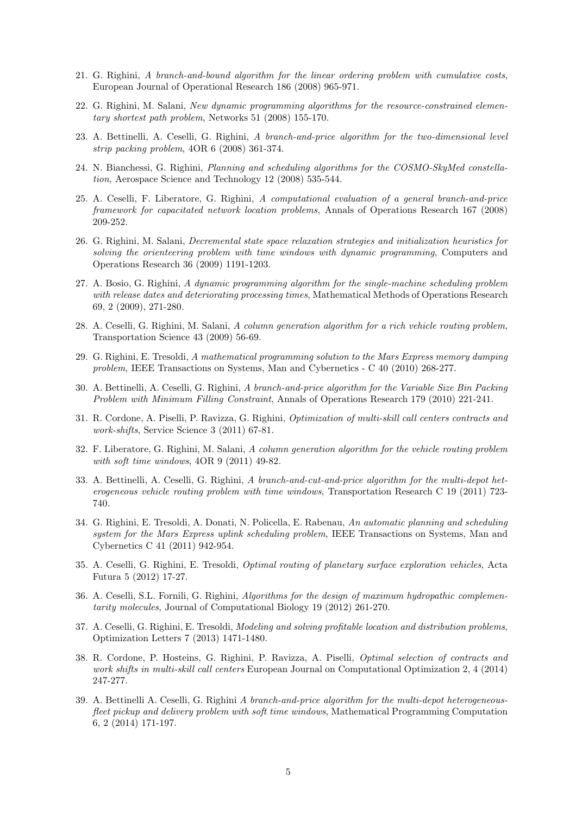- 21. G. Righini, A branch-and-bound algorithm for the linear ordering problem with cumulative costs, European Journal of Operational Research 186 (2008) 965-971.
- 22. G. Righini, M. Salani, New dynamic programming algorithms for the resource-constrained elementary shortest path problem, Networks 51 (2008) 155-170.
- 23. A. Bettinelli, A. Ceselli, G. Righini, A branch-and-price algorithm for the two-dimensional level strip packing problem, 4OR 6 (2008) 361-374.
- 24. N. Bianchessi, G. Righini, Planning and scheduling algorithms for the COSMO-SkyMed constellation, Aerospace Science and Technology 12 (2008) 535-544.
- 25. A. Ceselli, F. Liberatore, G. Righini, A computational evaluation of a general branch-and-price framework for capacitated network location problems, Annals of Operations Research 167 (2008) 209-252.
- 26. G. Righini, M. Salani, Decremental state space relaxation strategies and initialization heuristics for solving the orienteering problem with time windows with dynamic programming, Computers and Operations Research 36 (2009) 1191-1203.
- 27. A. Bosio, G. Righini, A dynamic programming algorithm for the single-machine scheduling problem with release dates and deteriorating processing times, Mathematical Methods of Operations Research 69, 2 (2009), 271-280.
- 28. A. Ceselli, G. Righini, M. Salani, A column generation algorithm for a rich vehicle routing problem, Transportation Science 43 (2009) 56-69.
- 29. G. Righini, E. Tresoldi, A mathematical programming solution to the Mars Express memory dumping problem, IEEE Transactions on Systems, Man and Cybernetics - C 40 (2010) 268-277.
- 30. A. Bettinelli, A. Ceselli, G. Righini, A branch-and-price algorithm for the Variable Size Bin Packing Problem with Minimum Filling Constraint, Annals of Operations Research 179 (2010) 221-241.
- 31. R. Cordone, A. Piselli, P. Ravizza, G. Righini, Optimization of multi-skill call centers contracts and work-shifts, Service Science 3 (2011) 67-81.
- 32. F. Liberatore, G. Righini, M. Salani, A column generation algorithm for the vehicle routing problem with soft time windows,  $4OR 9 (2011) 49-82$ .
- 33. A. Bettinelli, A. Ceselli, G. Righini, A branch-and-cut-and-price algorithm for the multi-depot heterogeneous vehicle routing problem with time windows, Transportation Research C 19 (2011) 723- 740.
- 34. G. Righini, E. Tresoldi, A. Donati, N. Policella, E. Rabenau, An automatic planning and scheduling system for the Mars Express uplink scheduling problem, IEEE Transactions on Systems, Man and Cybernetics C 41 (2011) 942-954.
- 35. A. Ceselli, G. Righini, E. Tresoldi, Optimal routing of planetary surface exploration vehicles, Acta Futura 5 (2012) 17-27.
- 36. A. Ceselli, S.L. Fornili, G. Righini, Algorithms for the design of maximum hydropathic complementarity molecules, Journal of Computational Biology 19 (2012) 261-270.
- 37. A. Ceselli, G. Righini, E. Tresoldi, Modeling and solving profitable location and distribution problems, Optimization Letters 7 (2013) 1471-1480.
- 38. R. Cordone, P. Hosteins, G. Righini, P. Ravizza, A. Piselli, Optimal selection of contracts and work shifts in multi-skill call centers European Journal on Computational Optimization 2, 4 (2014) 247-277.
- 39. A. Bettinelli A. Ceselli, G. Righini A branch-and-price algorithm for the multi-depot heterogeneousfleet pickup and delivery problem with soft time windows, Mathematical Programming Computation 6, 2 (2014) 171-197.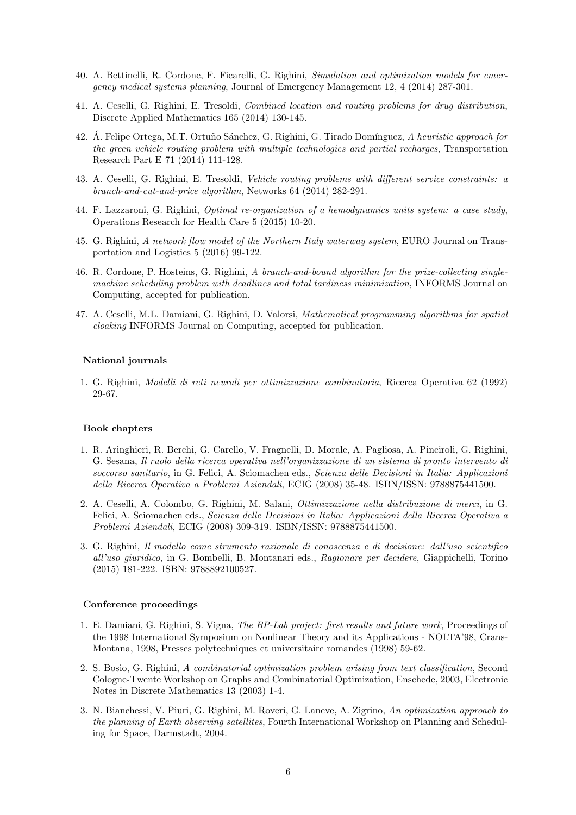- 40. A. Bettinelli, R. Cordone, F. Ficarelli, G. Righini, Simulation and optimization models for emergency medical systems planning, Journal of Emergency Management 12, 4 (2014) 287-301.
- 41. A. Ceselli, G. Righini, E. Tresoldi, Combined location and routing problems for drug distribution, Discrete Applied Mathematics 165 (2014) 130-145.
- 42. Á. Felipe Ortega, M.T. Ortuño Sánchez, G. Righini, G. Tirado Domínguez, A heuristic approach for the green vehicle routing problem with multiple technologies and partial recharges, Transportation Research Part E 71 (2014) 111-128.
- 43. A. Ceselli, G. Righini, E. Tresoldi, Vehicle routing problems with different service constraints: a branch-and-cut-and-price algorithm, Networks 64 (2014) 282-291.
- 44. F. Lazzaroni, G. Righini, Optimal re-organization of a hemodynamics units system: a case study, Operations Research for Health Care 5 (2015) 10-20.
- 45. G. Righini, A network flow model of the Northern Italy waterway system, EURO Journal on Transportation and Logistics 5 (2016) 99-122.
- 46. R. Cordone, P. Hosteins, G. Righini, A branch-and-bound algorithm for the prize-collecting singlemachine scheduling problem with deadlines and total tardiness minimization, INFORMS Journal on Computing, accepted for publication.
- 47. A. Ceselli, M.L. Damiani, G. Righini, D. Valorsi, Mathematical programming algorithms for spatial cloaking INFORMS Journal on Computing, accepted for publication.

#### National journals

1. G. Righini, Modelli di reti neurali per ottimizzazione combinatoria, Ricerca Operativa 62 (1992) 29-67.

#### Book chapters

- 1. R. Aringhieri, R. Berchi, G. Carello, V. Fragnelli, D. Morale, A. Pagliosa, A. Pinciroli, G. Righini, G. Sesana, Il ruolo della ricerca operativa nell'organizzazione di un sistema di pronto intervento di soccorso sanitario, in G. Felici, A. Sciomachen eds., Scienza delle Decisioni in Italia: Applicazioni della Ricerca Operativa a Problemi Aziendali, ECIG (2008) 35-48. ISBN/ISSN: 9788875441500.
- 2. A. Ceselli, A. Colombo, G. Righini, M. Salani, Ottimizzazione nella distribuzione di merci, in G. Felici, A. Sciomachen eds., Scienza delle Decisioni in Italia: Applicazioni della Ricerca Operativa a Problemi Aziendali, ECIG (2008) 309-319. ISBN/ISSN: 9788875441500.
- 3. G. Righini, Il modello come strumento razionale di conoscenza e di decisione: dall'uso scientifico all'uso giuridico, in G. Bombelli, B. Montanari eds., Ragionare per decidere, Giappichelli, Torino (2015) 181-222. ISBN: 9788892100527.

#### Conference proceedings

- 1. E. Damiani, G. Righini, S. Vigna, The BP-Lab project: first results and future work, Proceedings of the 1998 International Symposium on Nonlinear Theory and its Applications - NOLTA'98, Crans-Montana, 1998, Presses polytechniques et universitaire romandes (1998) 59-62.
- 2. S. Bosio, G. Righini, A combinatorial optimization problem arising from text classification, Second Cologne-Twente Workshop on Graphs and Combinatorial Optimization, Enschede, 2003, Electronic Notes in Discrete Mathematics 13 (2003) 1-4.
- 3. N. Bianchessi, V. Piuri, G. Righini, M. Roveri, G. Laneve, A. Zigrino, An optimization approach to the planning of Earth observing satellites, Fourth International Workshop on Planning and Scheduling for Space, Darmstadt, 2004.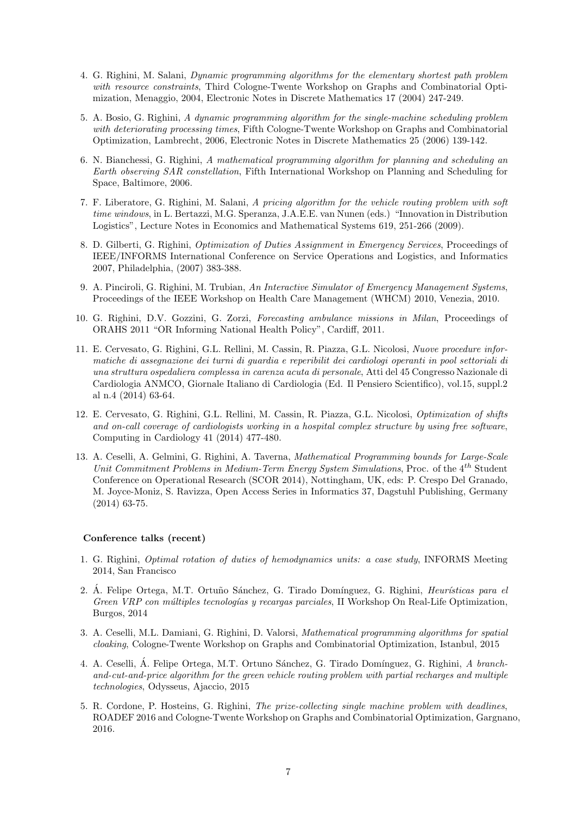- 4. G. Righini, M. Salani, Dynamic programming algorithms for the elementary shortest path problem with resource constraints, Third Cologne-Twente Workshop on Graphs and Combinatorial Optimization, Menaggio, 2004, Electronic Notes in Discrete Mathematics 17 (2004) 247-249.
- 5. A. Bosio, G. Righini, A dynamic programming algorithm for the single-machine scheduling problem with deteriorating processing times, Fifth Cologne-Twente Workshop on Graphs and Combinatorial Optimization, Lambrecht, 2006, Electronic Notes in Discrete Mathematics 25 (2006) 139-142.
- 6. N. Bianchessi, G. Righini, A mathematical programming algorithm for planning and scheduling an Earth observing SAR constellation, Fifth International Workshop on Planning and Scheduling for Space, Baltimore, 2006.
- 7. F. Liberatore, G. Righini, M. Salani, A pricing algorithm for the vehicle routing problem with soft time windows, in L. Bertazzi, M.G. Speranza, J.A.E.E. van Nunen (eds.) "Innovation in Distribution Logistics", Lecture Notes in Economics and Mathematical Systems 619, 251-266 (2009).
- 8. D. Gilberti, G. Righini, Optimization of Duties Assignment in Emergency Services, Proceedings of IEEE/INFORMS International Conference on Service Operations and Logistics, and Informatics 2007, Philadelphia, (2007) 383-388.
- 9. A. Pinciroli, G. Righini, M. Trubian, An Interactive Simulator of Emergency Management Systems, Proceedings of the IEEE Workshop on Health Care Management (WHCM) 2010, Venezia, 2010.
- 10. G. Righini, D.V. Gozzini, G. Zorzi, Forecasting ambulance missions in Milan, Proceedings of ORAHS 2011 "OR Informing National Health Policy", Cardiff, 2011.
- 11. E. Cervesato, G. Righini, G.L. Rellini, M. Cassin, R. Piazza, G.L. Nicolosi, Nuove procedure informatiche di assegnazione dei turni di guardia e reperibilit dei cardiologi operanti in pool settoriali di una struttura ospedaliera complessa in carenza acuta di personale, Atti del 45 Congresso Nazionale di Cardiologia ANMCO, Giornale Italiano di Cardiologia (Ed. Il Pensiero Scientifico), vol.15, suppl.2 al n.4 (2014) 63-64.
- 12. E. Cervesato, G. Righini, G.L. Rellini, M. Cassin, R. Piazza, G.L. Nicolosi, Optimization of shifts and on-call coverage of cardiologists working in a hospital complex structure by using free software, Computing in Cardiology 41 (2014) 477-480.
- 13. A. Ceselli, A. Gelmini, G. Righini, A. Taverna, Mathematical Programming bounds for Large-Scale Unit Commitment Problems in Medium-Term Energy System Simulations, Proc. of the 4<sup>th</sup> Student Conference on Operational Research (SCOR 2014), Nottingham, UK, eds: P. Crespo Del Granado, M. Joyce-Moniz, S. Ravizza, Open Access Series in Informatics 37, Dagstuhl Publishing, Germany (2014) 63-75.

#### Conference talks (recent)

- 1. G. Righini, Optimal rotation of duties of hemodynamics units: a case study, INFORMS Meeting 2014, San Francisco
- 2. Á. Felipe Ortega, M.T. Ortuño Sánchez, G. Tirado Domínguez, G. Righini, Heurísticas para el Green VRP con múltiples tecnologías y recargas parciales, II Workshop On Real-Life Optimization, Burgos, 2014
- 3. A. Ceselli, M.L. Damiani, G. Righini, D. Valorsi, Mathematical programming algorithms for spatial cloaking, Cologne-Twente Workshop on Graphs and Combinatorial Optimization, Istanbul, 2015
- 4. A. Ceselli, Á. Felipe Ortega, M.T. Ortuno Sánchez, G. Tirado Domínguez, G. Righini, A branchand-cut-and-price algorithm for the green vehicle routing problem with partial recharges and multiple technologies, Odysseus, Ajaccio, 2015
- 5. R. Cordone, P. Hosteins, G. Righini, The prize-collecting single machine problem with deadlines, ROADEF 2016 and Cologne-Twente Workshop on Graphs and Combinatorial Optimization, Gargnano, 2016.